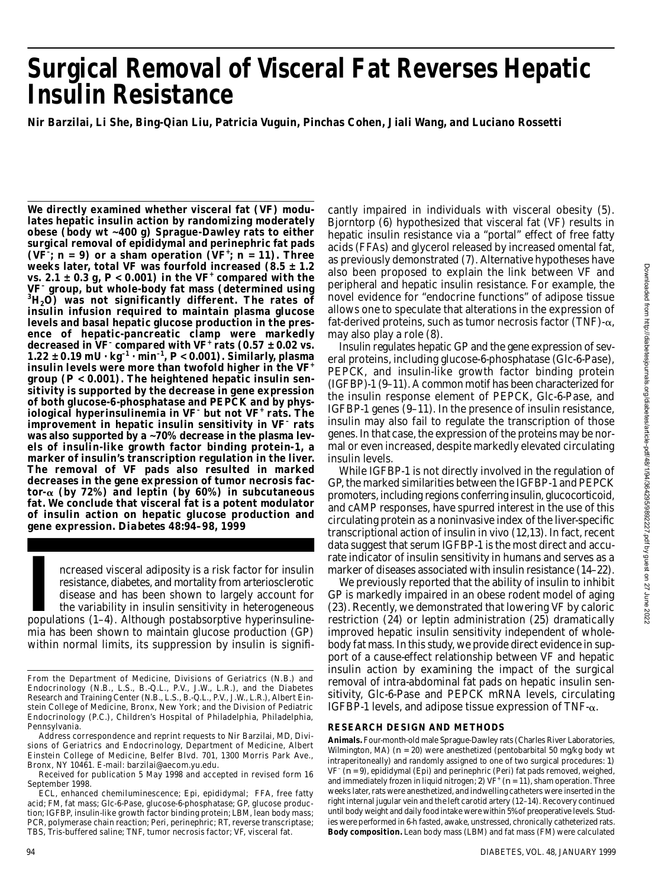# **Surgical Removal of Visceral Fat Reverses Hepatic Insulin Resistance**

**Nir Barzilai, Li She, Bing-Qian Liu, Patricia Vuguin, Pinchas Cohen, Jiali Wang, and Luciano Rossetti**

**We directly examined whether visceral fat (VF) modulates hepatic insulin action by randomizing moderately obese (body wt ~400 g) Sprague-Dawley rats to either surgical removal of epididymal and perinephric fat pads** ( $VF^{\dagger}$ ;  $n = 9$ ) or a sham operation ( $VF^{\dagger}$ ;  $n = 11$ ). Three **weeks later, total VF was fourfold increased (8.5 ± 1.2 vs. 2.1 ± 0.3 g,** *P* **< 0.001) in the VF<sup>+</sup> compared with the V F– group, but whole-body fat mass (determined using <sup>3</sup>H2O) was not significantly different. The rates of insulin infusion required to maintain plasma glucose levels and basal hepatic glucose production in the presence of hepatic-pancreatic clamp were markedly decreased in VF– compared with VF<sup>+</sup> rats (0.57 ± 0.02 vs.**  $1.22 \pm 0.19 \text{ mU} \cdot \text{kg}^{-1} \cdot \text{min}^{-1}$ ,  $P < 0.001$ ). Similarly, plasma **insulin levels were more than twofold higher in the VF<sup>+</sup> group (***P* **< 0.001). The heightened hepatic insulin sensitivity is supported by the decrease in gene expression of both glucose-6-phosphatase and PEPCK and by physiological hyperinsulinemia in V F– but not V F<sup>+</sup> rats. The** improvement in hepatic insulin sensitivity in VF<sup>-</sup> rats **was also supported by a ~70% decrease in the plasma levels of insulin-like growth factor binding protein-1, a marker of insulin's transcription regulation in the liver. The removal of VF pads also resulted in marked decreases in the gene expression of tumor necrosis fac** $tor_\alpha$  (by 72%) and leptin (by 60%) in subcutaneous **fat. We conclude that visceral fat is a potent modulator of insulin action on hepatic glucose production and gene expression.** *D i a b e t e s* **48:94–98, 1999**

ncreased visceral adiposity is a risk factor for insulin<br>
resistance, diabetes, and mortality from arteriosclerotic<br>
disease and has been shown to largely account for<br>
the variability in insulin sensitivity in heterogeneou ncreased visceral adiposity is a risk factor for insulin resistance, diabetes, and mortality from arteriosclerotic disease and has been shown to largely account for the variability in insulin sensitivity in heterogeneous mia has been shown to maintain glucose production (GP) within normal limits, its suppression by insulin is signifi-

Address correspondence and reprint requests to Nir Barzilai, MD, Divisions of Geriatrics and Endocrinology, Department of Medicine, Albert Einstein College of Medicine, Belfer Blvd. 701, 1300 Morris Park Ave., Bronx, NY 10461. E-mail: barzilai@aecom.yu.edu.

cantly impaired in individuals with visceral obesity (5). Bjorntorp (6) hypothesized that visceral fat (VF) results in hepatic insulin resistance via a "portal" effect of free fatty acids (FFAs) and glycerol released by increased omental fat, as previously demonstrated (7). Alternative hypotheses have also been proposed to explain the link between VF and peripheral and hepatic insulin resistance. For example, the novel evidence for "endocrine functions" of adipose tissue allows one to speculate that alterations in the expression of fat-derived proteins, such as tumor necrosis factor (TNF)- $\alpha$ , may also play a role (8).

Insulin regulates hepatic GP and the gene expression of several proteins, including glucose-6-phosphatase (Glc-6-Pase), PEPCK, and insulin-like growth factor binding protein (IGFBP)-1 (9–11). A common motif has been characterized for the insulin response element of PEPCK, Glc-6-Pase, and IGFBP-1 genes (9–11). In the presence of insulin resistance, insulin may also fail to regulate the transcription of those genes. In that case, the expression of the proteins may be normal or even increased, despite markedly elevated circulating insulin levels.

While IGFBP-1 is not directly involved in the regulation of GP, the marked similarities between the IGFBP-1 and PEPCK promoters, including regions conferring insulin, glucocorticoid, and cAMP responses, have spurred interest in the use of this circulating protein as a noninvasive index of the liver-specific transcriptional action of insulin in vivo (12,13). In fact, recent data suggest that serum IGFBP-1 is the most direct and accurate indicator of insulin sensitivity in humans and serves as a marker of diseases associated with insulin resistance (14–22).

We previously reported that the ability of insulin to inhibit GP is markedly impaired in an obese rodent model of aging (23). Recently, we demonstrated that lowering VF by caloric restriction (24) or leptin administration (25) dramatically improved hepatic insulin sensitivity independent of wholebody fat mass. In this study, we provide direct evidence in support of a cause-effect relationship between VF and hepatic insulin action by examining the impact of the surgical removal of intra-abdominal fat pads on hepatic insulin sensitivity, Glc-6-Pase and PEPCK mRNA levels, circulating IGFBP-1 levels, and adipose tissue expression of TNF- $\alpha$ .

### **RESEARCH DESIGN AND METHODS**

Animals. Four-month-old male Sprague-Dawley rats (Charles River Laboratories, Wilmington, MA) (*n* = 20) were anesthetized (pentobarbital 50 mg/kg body wt intraperitoneally) and randomly assigned to one of two surgical procedures: *1*) VF<sup>-</sup> (n = 9), epididymal (Epi) and perinephric (Peri) fat pads removed, weighed, and immediately frozen in liquid nitrogen;  $2$ ) VF<sup>+</sup> ( $n = 11$ ), sham operation. Three weeks later, rats were anesthetized, and indwelling catheters were inserted in the right internal jugular vein and the left carotid artery (12–14). Recovery continued until body weight and daily food intake were within 5% of preoperative levels. Studies were performed in 6-h fasted, awake, unstressed, chronically catheterized rats. **Body composition.** Lean body mass (LBM) and fat mass (FM) were calculated

From the Department of Medicine, Divisions of Geriatrics (N.B.) and Endocrinology (N.B., L.S., B.-Q.L., P.V., J.W., L.R.), and the Diabetes Research and Training Center (N.B., L.S., B.-Q.L., P.V., J.W., L.R.), Albert Einstein College of Medicine, Bronx, New York; and the Division of Pediatric Endocrinology (P.C.), Children's Hospital of Philadelphia, Philadelphia, Pennsylvania.

Received for publication 5 May 1998 and accepted in revised form 16 September 1998.

ECL, enhanced chemiluminescence; Epi, epididymal; FFA, free fatty acid; FM, fat mass; Glc-6-Pase, glucose-6-phosphatase; GP, glucose production; IGFBP, insulin-like growth factor binding protein; LBM, lean body mass; PCR, polymerase chain reaction; Peri, perinephric; RT, reverse transcriptase; TBS, Tris-buffered saline; TNF, tumor necrosis factor; VF, visceral fat.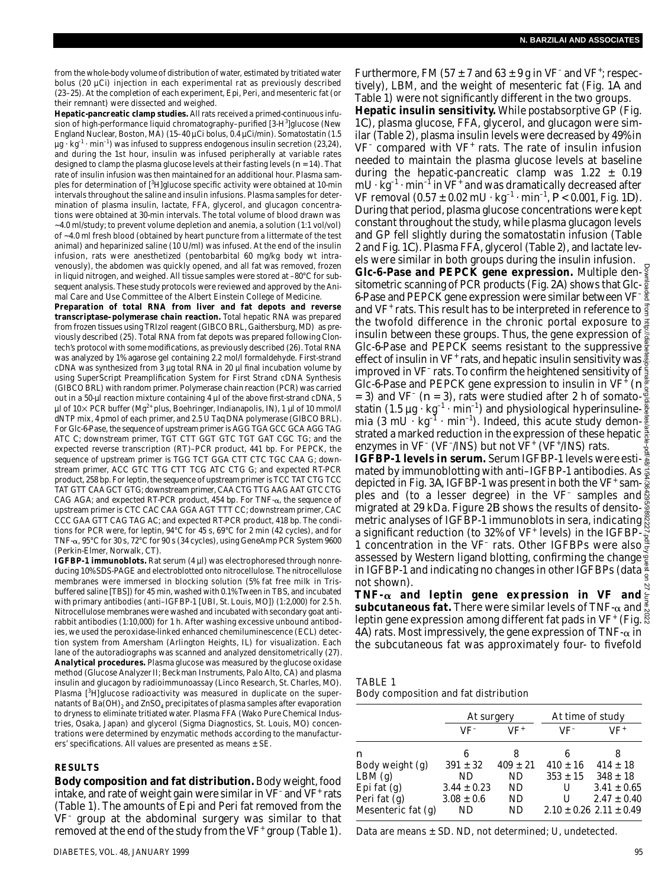from the whole-body volume of distribution of water, estimated by tritiated water bolus (20 µCi) injection in each experimental rat as previously described (23–25). At the completion of each experiment, Epi, Peri, and mesenteric fat (or their remnant) were dissected and weighed.

**Hepatic-pancreatic clamp studies.** All rats received a primed-continuous infusion of high-performance liquid chromatography–purified [3-H<sup>3</sup>]glucose (New England Nuclear, Boston, MA) (15–40 µCi bolus, 0.4 µCi/min). Somatostatin (1.5  $\mu$ g · kg<sup>-1</sup> · min<sup>-1</sup>) was infused to suppress endogenous insulin secretion (23,24), and during the 1st hour, insulin was infused peripherally at variable rates designed to clamp the plasma glucose levels at their fasting levels (*n* = 14). That rate of insulin infusion was then maintained for an additional hour. Plasma samples for determination of [<sup>3</sup>H]glucose specific activity were obtained at 10-min intervals throughout the saline and insulin infusions. Plasma samples for determination of plasma insulin, lactate, FFA, glycerol, and glucagon concentrations were obtained at 30-min intervals. The total volume of blood drawn was ~4.0 ml/study; to prevent volume depletion and anemia, a solution (1:1 vol/vol) of ~4.0 ml fresh blood (obtained by heart puncture from a littermate of the test animal) and heparinized saline (10 U/ml) was infused. At the end of the insulin infusion, rats were anesthetized (pentobarbital 60 mg/kg body wt intravenously), the abdomen was quickly opened, and all fat was removed, frozen in liquid nitrogen, and weighed. All tissue samples were stored at –80°C for subsequent analysis. These study protocols were reviewed and approved by the Animal Care and Use Committee of the Albert Einstein College of Medicine.

**Preparation of total RNA from liver and fat depots and reverse transcriptase–polymerase chain reaction.** Total hepatic RNA was prepared from frozen tissues using TRIzol reagent (GIBCO BRL, Gaithersburg, MD) as previously described (25). Total RNA from fat depots was prepared following Clontech's protocol with some modifications, as previously described (26). Total RNA was analyzed by 1% agarose gel containing 2.2 mol/l formaldehyde. First-strand cDNA was synthesized from 3 µg total RNA in 20 µl final incubation volume by using SuperScript Preamplification System for First Strand cDNA Synthesis (GIBCO BRL) with random primer. Polymerase chain reaction (PCR) was carried out in a 50-µl reaction mixture containing 4 µl of the above first-strand cDNA, 5 µl of 10 $\times$  PCR buffer (Mg<sup>2+</sup> plus, Boehringer, Indianapolis, IN), 1 µl of 10 mmol/l dNTP mix, 4 pmol of each primer, and 2.5 U Taq DNA polymerase (GIBCO BRL). For Glc-6-Pase, the sequence of upstream primer is AGG TGA GCC GCA AGG TA G ATC C; downstream primer, TGT CTT GGT GTC TGT GAT CGC TG; and the expected reverse transcription (RT)–PCR product, 441 bp. For PEPCK, the sequence of upstream primer is TGG TCT GGA CTT CTC TGC CAA G; downstream primer, ACC GTC TTG CTT TCG ATC CTG G; and expected RT-PCR product, 258 bp. For leptin, the sequence of upstream primer is TCC TAT CTG TCC TAT GTT CAA GCT GTG; downstream primer, CAA CTG TTG AAG AAT GTC CTG CAG AGA; and expected RT-PCR product, 454 bp. For TNF- $\alpha$ , the sequence of upstream primer is CTC CAC CAA GGA AGT TTT CC; downstream primer, CAC CCC GAA GTT CAG TAG AC; and expected RT-PCR product, 418 bp. The conditions for PCR were, for leptin, 94°C for 45 s, 69°C for 2 min (42 cycles), and for TNF- $\alpha$ , 95°C for 30 s, 72°C for 90 s (34 cycles), using GeneAmp PCR System 9600 (Perkin-Elmer, Norwalk, CT).

**IGFBP-1 immunoblots.** Rat serum (4 µl) was electrophoresed through nonreducing 10% SDS-PAGE and electroblotted onto nitrocellulose. The nitrocellulose membranes were immersed in blocking solution (5% fat free milk in Trisbuffered saline [TBS]) for 45 min, washed with 0.1% Tween in TBS, and incubated with primary antibodies (anti–IGFBP-1 [UBI, St. Louis, MO]) (1:2,000) for 2.5 h. Nitrocellulose membranes were washed and incubated with secondary goat antirabbit antibodies (1:10,000) for 1 h. After washing excessive unbound antibodies, we used the peroxidase-linked enhanced chemiluminescence (ECL) detection system from Amersham (Arlington Heights, IL) for visualization. Each lane of the autoradiographs was scanned and analyzed densitometrically (27). **Analytical procedures.** Plasma glucose was measured by the glucose oxidase method (Glucose Analyzer II; Beckman Instruments, Palo Alto, CA) and plasma insulin and glucagon by radioimmunoassay (Linco Research, St. Charles, MO). Plasma [3H]glucose radioactivity was measured in duplicate on the supernatants of Ba(OH) $_{\rm 2}$  and ZnSO $_{\rm 4}$  precipitates of plasma samples after evaporation to dryness to eliminate tritiated water. Plasma FFA (Wako Pure Chemical Industries, Osaka, Japan) and glycerol (Sigma Diagnostics, St. Louis, MO) concentrations were determined by enzymatic methods according to the manufacturers' specifications. All values are presented as means  $\pm$  SE.

#### **R E S U LT S**

**Body composition and fat distribution.**Body weight, food intake, and rate of weight gain were similar in  $VF$  and  $VF$  rats ( Table 1). The amounts of Epi and Peri fat removed from the VF<sup>-</sup> group at the abdominal surgery was similar to that removed at the end of the study from the VF $^+$  group (Table 1).

Furthermore, FM (57  $\pm$  7 and 63  $\pm$  9 g in VF<sup>-</sup> and VF<sup>+</sup>; respectively), LBM, and the weight of mesenteric fat (Fig. 1A and Table 1) were not significantly different in the two groups.

**Hepatic insulin sensitivity.** While postabsorptive GP (Fig. 1*C*), plasma glucose, FFA, glycerol, and glucagon were similar (Table 2), plasma insulin levels were decreased by 49% in VF<sup>-</sup> compared with VF<sup>+</sup> rats. The rate of insulin infusion needed to maintain the plasma glucose levels at baseline during the hepatic-pancreatic clamp was  $1.22 \pm 0.19$ mU $\cdot$   $\rm{kg^{-1}}\cdot$  min $^{-1}$  in VF $^+$  and was dramatically decreased after VF removal (0.57 ± 0.02 mU · kg<sup>-1</sup> · min<sup>-1</sup>,  $P$ < 0.001, Fig. 1*D*). During that period, plasma glucose concentrations were kept constant throughout the study, while plasma glucagon levels and GP fell slightly during the somatostatin infusion (Table 2 and Fig. 1*C*). Plasma FFA, glycerol (Table 2), and lactate levels were similar in both groups during the insulin infusion.

**Glc-6-Pase and PEPCK gene expression.** Multiple densitometric scanning of PCR products (Fig. 2*A*) shows that Glc-6-Pase and PEPCK gene expression were similar between VF-  $\frac{1}{2}$ and VF<sup>+</sup> rats. This result has to be interpreted in reference to the twofold difference in the chronic portal exposure to  $\frac{1}{2}$ insulin between these groups. Thus, the gene expression of  $\frac{5}{6}$ Glc-6-Pase and PEPCK seems resistant to the suppressive effect of insulin in VF<sup>+</sup> rats, and hepatic insulin sensitivity was improved in VF<sup>-</sup> rats. To confirm the heightened sensitivity of Glc-6-Pase and PEPCK gene expression to insulin in VF<sup>+</sup> (*n*  $=$  3) and VF<sup>-</sup> ( $n = 3$ ), rats were studied after 2 h of somatostatin (1.5  $\mu$ g · kg<sup>-1</sup> · min<sup>-1</sup>) and physiological hyperinsulinemia (3 mU  $\cdot$  kg $^{-1}$  · min $^{-1}$ ). Indeed, this acute study demonstrated a marked reduction in the expression of these hepatic  $\frac{5}{6}$ enzymes in VF<sup>-</sup> (VF<sup>-</sup>/INS) but not VF<sup>+</sup> (VF<sup>+</sup>/INS) rats. Downloaded from http://diabetesjournals.org/diabetes/article-pdf/48/1/94/364295/9892227.pdf by guest on 27 June 2022

**IGFBP-1 levels in serum.** Serum IGFBP-1 levels were esti- $\frac{3}{8}$ mated by immunoblotting with anti-IGFBP-1 antibodies. As  $\frac{3}{8}$ depicted in Fig. 3*A*, IGFBP-1 was present in both the VF<sup>+</sup> samples and (to a lesser degree) in the VF<sup>-</sup> samples and migrated at 29 kDa. Figure 2*B* shows the results of densitomatric analyses of IGFBP-1 immunoblots in sera, indicating  $\ddot{\S}$ a significant reduction (to 32% of VF<sup>+</sup> levels) in the IGFBP-1 concentration in the VF<sup>-</sup> rats. Other IGFBPs were also assessed by Western ligand blotting, confirming the change <mark>e</mark> in IGFBP-1 and indicating no changes in other IGFBPs (data  $\frac{3}{6}$ not shown).

**TNF-** $\alpha$  **and leptin gene expression in VF and**  $\epsilon$ **subcutaneous fat.** There were similar levels of TNF- $\alpha$  and  $\frac{3}{6}$ leptin gene expression among different fat pads in VF<sup>+</sup> (Fig. 4*A*) rats. Most impressively, the gene expression of TNF- $\alpha$  in the subcutaneous fat was approximately four- to fivefold

| TABLE 1 |                                       |  |
|---------|---------------------------------------|--|
|         | Body composition and fat distribution |  |

|                    | At surgery      |              | At time of study |                                 |
|--------------------|-----------------|--------------|------------------|---------------------------------|
|                    | VF-             | VF+          | VF-              | VF+                             |
| n                  | 6               | 8            | 6                | 8                               |
| Body weight (g)    | $391 \pm 32$    | $409 \pm 21$ | $410 \pm 16$     | $414 \pm 18$                    |
| LBM(q)             | ND.             | ND.          | $353 \pm 15$     | $348 \pm 18$                    |
| Epi fat $(q)$      | $3.44 \pm 0.23$ | ND           | U                | $3.41 \pm 0.65$                 |
| Peri fat (g)       | $3.08 \pm 0.6$  | ND           | U                | $2.47 \pm 0.40$                 |
| Mesenteric fat (g) | ND              | ND           |                  | $2.10 \pm 0.26$ 2.11 $\pm$ 0.49 |

Data are means  $\pm$  SD. ND, not determined; U, undetected.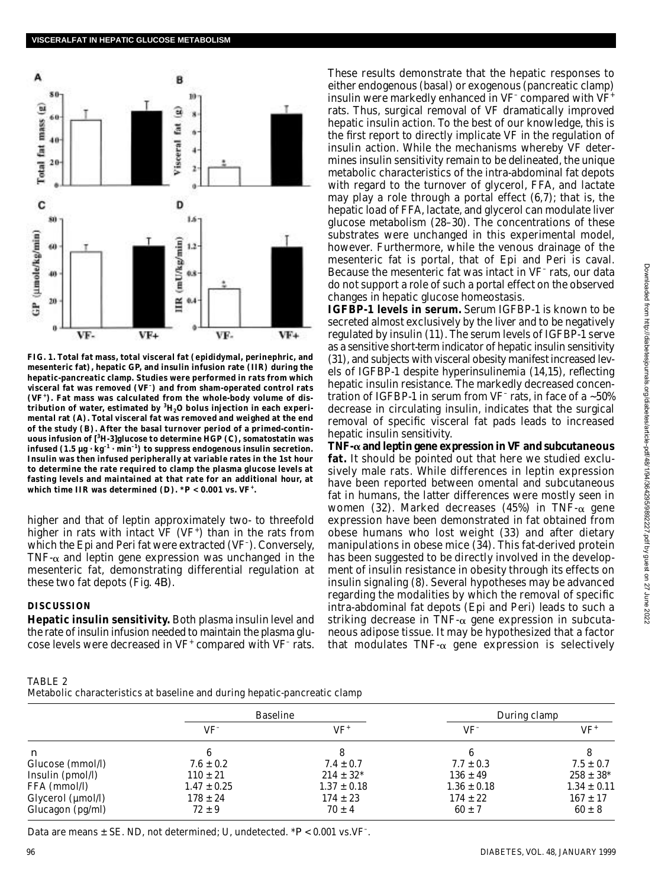

**FIG. 1. Total fat mass, total visceral fat (epididymal, perinephric, and mesenteric fat), hepatic GP, and insulin infusion rate (IIR) during the hepatic-pancreatic clamp. Studies were performed in rats from which visceral fat was removed (V F– ) and from sham-operated control rats** (VF<sup>+</sup>). Fat mass was calculated from the whole-body volume of dis**tribution of water, estimated by <sup>3</sup>H2O bolus injection in each experimental rat (***A***). Total visceral fat was removed and weighed at the end of the study (***B***). After the basal turnover period of a primed-continuous infusion of [<sup>3</sup>H-3]glucose to determine HGP (***C***), somatostatin was**  $intused (1.5 \mu g \cdot kg^{-1} \cdot min^{-1})$  to suppress endogenous insulin secretion. **Insulin was then infused peripherally at variable rates in the 1st hour to determine the rate required to clamp the plasma glucose levels at fasting levels and maintained at that rate for an additional hour, at** which time IIR was determined  $(D)$ .  $*P < 0.001$  vs. VF<sup>+</sup>.

higher and that of leptin approximately two- to threefold higher in rats with intact VF (VF<sup>+</sup>) than in the rats from which the Epi and Peri fat were extracted (VF<sup>-</sup>). Conversely, TNF- $\alpha$  and leptin gene expression was unchanged in the mesenteric fat, demonstrating differential regulation at these two fat depots (Fig. 4*B*) .

### **DISCUSSION**

**Hepatic insulin sensitivity.** Both plasma insulin level and the rate of insulin infusion needed to maintain the plasma glucose levels were decreased in  $VF^+$  compared with  $VF^-$  rats.

These results demonstrate that the hepatic responses to either endogenous (basal) or exogenous (pancreatic clamp) insulin were markedly enhanced in VF<sup>-</sup> compared with VF<sup>+</sup> rats. Thus, surgical removal of VF dramatically improved hepatic insulin action. To the best of our knowledge, this is the first report to directly implicate VF in the regulation of insulin action. While the mechanisms whereby VF determines insulin sensitivity remain to be delineated, the unique metabolic characteristics of the intra-abdominal fat depots with regard to the turnover of glycerol, FFA, and lactate may play a role through a portal effect (6,7); that is, the hepatic load of FFA, lactate, and glycerol can modulate liver glucose metabolism (28–30). The concentrations of these substrates were unchanged in this experimental model, however. Furthermore, while the venous drainage of the mesenteric fat is portal, that of Epi and Peri is caval. Because the mesenteric fat was intact in VF<sup>-</sup> rats, our data do not support a role of such a portal effect on the observed changes in hepatic glucose homeostasis.

**IGFBP-1 levels in serum.** Serum IGFBP-1 is known to be secreted almost exclusively by the liver and to be negatively regulated by insulin (11). The serum levels of IGFBP-1 serve as a sensitive short-term indicator of hepatic insulin sensitivity (31), and subjects with visceral obesity manifest increased levels of IGFBP-1 despite hyperinsulinemia (14,15), reflecting hepatic insulin resistance. The markedly decreased concentration of IGFBP-1 in serum from VF<sup>-</sup> rats, in face of a ~50% decrease in circulating insulin, indicates that the surgical removal of specific visceral fat pads leads to increased hepatic insulin sensitivity.

TNF $-\alpha$  and leptin gene expression in VF and subcutaneous fat. It should be pointed out that here we studied exclusively male rats. While differences in leptin expression have been reported between omental and subcutaneous fat in humans, the latter differences were mostly seen in women (32). Marked decreases (45%) in TNF- $\alpha$  gene expression have been demonstrated in fat obtained from obese humans who lost weight (33) and after dietary manipulations in obese mice (34). This fat-derived protein has been suggested to be directly involved in the development of insulin resistance in obesity through its effects on insulin signaling (8). Several hypotheses may be advanced regarding the modalities by which the removal of specific intra-abdominal fat depots (Epi and Peri) leads to such a striking decrease in TNF- $\alpha$  gene expression in subcutaneous adipose tissue. It may be hypothesized that a factor that modulates TNF- $\alpha$  gene expression is selectively

| TABLE 2                                                                   |  |
|---------------------------------------------------------------------------|--|
| Metabolic characteristics at baseline and during hepatic-pancreatic clamp |  |

|                   | <b>Baseline</b> |                 | During clamp    |                 |
|-------------------|-----------------|-----------------|-----------------|-----------------|
|                   | $VF^-$          | VF+             | VF <sup>-</sup> | VF+             |
| $\boldsymbol{n}$  |                 |                 |                 |                 |
| Glucose (mmol/l)  | $7.6 \pm 0.2$   | $7.4 \pm 0.7$   | $7.7 \pm 0.3$   | $7.5 \pm 0.7$   |
| Insulin (pmol/l)  | $110 \pm 21$    | $214 \pm 32^*$  | $136 \pm 49$    | $258 \pm 38^*$  |
| FFA (mmol/l)      | $1.47 \pm 0.25$ | $1.37 \pm 0.18$ | $1.36 \pm 0.18$ | $1.34 \pm 0.11$ |
|                   | $178 \pm 24$    | $174 \pm 23$    | $174 \pm 22$    | $167 \pm 17$    |
| Glucagon (pg/ml)  | $72 \pm 9$      | $70 \pm 4$      | $60 \pm 7$      | $60 \pm 8$      |
| Glycerol (µmol/l) |                 |                 |                 |                 |

Data are means  $\pm$  SE. ND, not determined; U, undetected.  $*P < 0.001$  vs.VF<sup>-</sup>.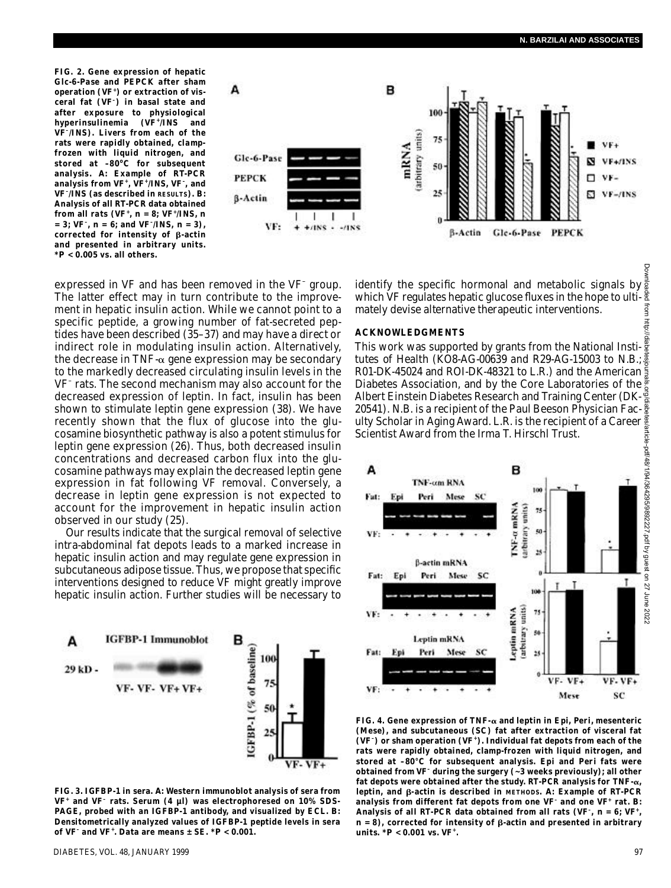**FIG. 2. Gene expression of hepatic Glc-6-Pase and PEPCK after sham** operation (VF<sup>+</sup>) or extraction of vis**ceral fat (V F– ) in basal state and after exposure to physiological** hyperinsulinemia (VF<sup>+</sup>/INS and **V F– /INS). Livers from each of the rats were rapidly obtained, clampfrozen with liquid nitrogen, and stored at –80<sup>o</sup>C for subsequent** analysis. A: Example of RT-PCR **analysis from V F<sup>+</sup> , V F<sup>+</sup> /INS, V F– , and VF**<sup> $-$ </sup>/INS (as described in RESULTS). *B*: **Analysis of all RT-PCR data obtained** from all rats (VF<sup>+</sup>, *n* = 8; VF<sup>+</sup>/INS, *n*  $= 3$ ; VF<sup>-</sup>, *n* = 6; and VF<sup>-</sup>/INS, *n* = 3), corrected for intensity of *B*-actin **and presented in arbitrary units. \****P* **< 0.005 vs. all others.**



expressed in VF and has been removed in the VF<sup>-</sup> group. The latter effect may in turn contribute to the improvement in hepatic insulin action. While we cannot point to a specific peptide, a growing number of fat-secreted peptides have been described (35–37) and may have a direct or indirect role in modulating insulin action. Alternatively, the decrease in TNF- $\alpha$  gene expression may be secondary to the markedly decreased circulating insulin levels in the VF<sup>-</sup> rats. The second mechanism may also account for the decreased expression of leptin. In fact, insulin has been shown to stimulate leptin gene expression (38). We have recently shown that the flux of glucose into the glucosamine biosynthetic pathway is also a potent stimulus for leptin gene expression (26). Thus, both decreased insulin concentrations and decreased carbon flux into the glucosamine pathways may explain the decreased leptin gene expression in fat following VF removal. Conversely, a decrease in leptin gene expression is not expected to account for the improvement in hepatic insulin action observed in our study (25).

Our results indicate that the surgical removal of selective intra-abdominal fat depots leads to a marked increase in hepatic insulin action and may regulate gene expression in subcutaneous adipose tissue. Thus, we propose that specific interventions designed to reduce VF might greatly improve hepatic insulin action. Further studies will be necessary to



**FIG. 3. IGFBP-1 in sera.** *A***: Western immunoblot analysis of sera from V F<sup>+</sup> and V F– rats. Serum (4 µl) was electrophoresed on 10% SDS-PAGE, probed with an IGFBP-1 antibody, and visualized by ECL.** *B***: Densitometrically analyzed values of IGFBP-1 peptide levels in sera of V F– and V F<sup>+</sup> . Data are means ± SE. \****P* **< 0.001.**

identify the specific hormonal and metabolic signals by which VF regulates hepatic glucose fluxes in the hope to ultimately devise alternative therapeutic interventions.

#### **A C K N O W L E D G M E N T S**

This work was supported by grants from the National Insti- $\frac{\overline{v}}{\overline{s}}$ tutes of Health (KO8-AG-00639 and R29-AG-15003 to N.B.; R01-DK-45024 and ROI-DK-48321 to L.R.) and the American 5 Diabetes Association, and by the Core Laboratories of the  $\frac{5}{6}$ <br>Albert Einstein Diabetes Research and Training Center (DK- $\frac{2}{5}$ Albert Einstein Diabetes Research and Training Center (DK-20541). N.B. is a recipient of the Paul Beeson Physician Faculty Scholar in Aging Award. L.R. is the recipient of a Career Scientist Award from the Irma T. Hirschl Trust.



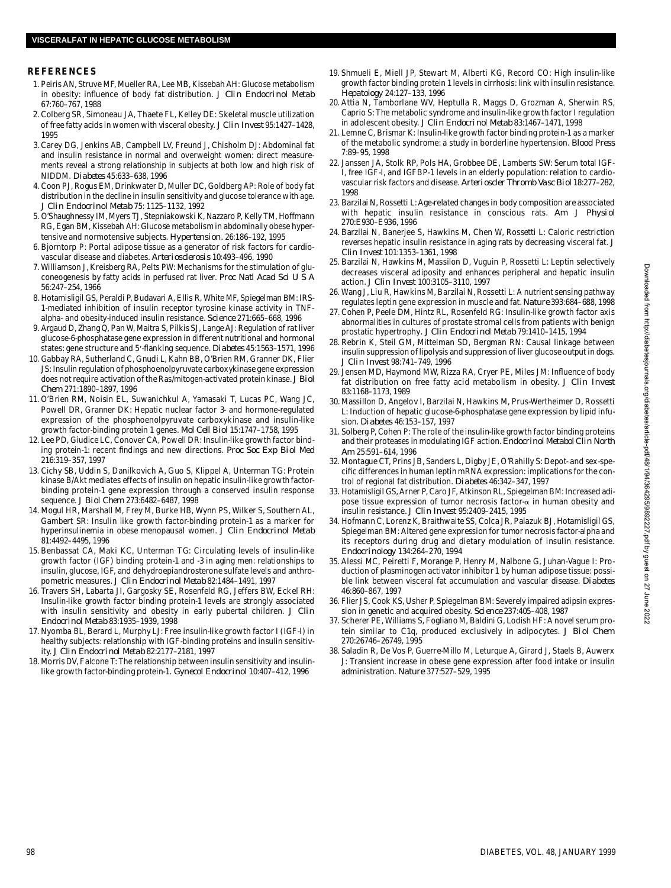## **R E F E R E N C E S**

- 1 . Peiris AN, Struve MF, Mueller RA, Lee MB, Kissebah AH: Glucose metabolism in obesity: influence of body fat distribution. *J Clin Endocrinol Metab* 67:760–767, 1988
- 2 . Colberg SR, Simoneau JA, Thaete FL, Kelley DE: Skeletal muscle utilization of free fatty acids in women with visceral obesity. *J Clin Invest* 95:1427-1428, 1995
- 3 .Carey DG, Jenkins AB, Campbell LV, Freund J, Chisholm DJ: Abdominal fat and insulin resistance in normal and overweight women: direct measurements reveal a strong relationship in subjects at both low and high risk of N I D D M . *D i a b e t e s* 45:633–638, 1996
- 4 . Coon PJ, Rogus EM, Drinkwater D, Muller DC, Goldberg AP: Role of body fat distribution in the decline in insulin sensitivity and glucose tolerance with age. *J Clin Endocrinol Metab* 75: 1125–1132, 1992
- 5 . O'Shaughnessy IM, Myers TJ, Stepniakowski K, Nazzaro P, Kelly TM, Hoffmann RG, Egan BM, Kissebah AH: Glucose metabolism in abdominally obese hypertensive and normotensive subjects. **Hypertension**. 26:186-192, 1995
- 6 . Bjorntorp P: Portal adipose tissue as a generator of risk factors for cardiovascular disease and diabetes. Arteriosclerosis 10:493-496, 1990
- 7 . Williamson J, Kreisberg RA, Pelts PW: Mechanisms for the stimulation of gluconeogenesis by fatty acids in perfused rat liver. *Proc Natl Acad Sci U S A* 56:247–254, 1966
- 8 . Hotamisligil GS, Peraldi P, Budavari A, Ellis R, White MF, Spiegelman BM: IRS-1-mediated inhibition of insulin receptor tyrosine kinase activity in TNFalpha- and obesity-induced insulin resistance. *Science* 271:665–668, 1996
- 9 . Argaud D, Zhang Q, Pan W, Maitra S, Pilkis SJ, Lange AJ: Regulation of rat liver glucose-6-phosphatase gene expression in different nutritional and hormonal states: gene structure and 5'-flanking sequence. *Diabetes* 45:1563-1571, 1996
- 10. Gabbay RA, Sutherland C, Gnudi L, Kahn BB, O'Brien RM, Granner DK, Flier JS: Insulin regulation of phosphoenolpyruvate carboxykinase gene expression does not require activation of the Ras/mitogen-activated protein kinase. *J Biol C h e m* 271:1890–1897, 1996
- 11. O'Brien RM, Noisin EL, Suwanichkul A, Yamasaki T, Lucas PC, Wang JC, Powell DR, Granner DK: Hepatic nuclear factor 3- and hormone-regulated expression of the phosphoenolpyruvate carboxykinase and insulin-like growth factor-binding protein 1 genes. *Mol Cell Biol* 15:1747–1758, 1995
- 12. Lee PD, Giudice LC, Conover CA, Powell DR: Insulin-like growth factor binding protein-1: recent findings and new directions. *Proc Soc Exp Biol Med* 216:319–357, 1997
- 13. Cichy SB, Uddin S, Danilkovich A, Guo S, Klippel A, Unterman TG: Protein kinase B/Akt mediates effects of insulin on hepatic insulin-like growth factorbinding protein-1 gene expression through a conserved insulin response sequence. *J Biol Chem* 273:6482–6487, 1998
- 14. Mogul HR, Marshall M, Frey M, Burke HB, Wynn PS, Wilker S, Southern AL, Gambert SR: Insulin like growth factor-binding protein-1 as a marker for hyperinsulinemia in obese menopausal women. *J Clin Endocrinol Metab* 81:4492–4495, 1996
- 15. Benbassat CA, Maki KC, Unterman TG: Circulating levels of insulin-like growth factor (IGF) binding protein-1 and -3 in aging men: relationships to insulin, glucose, IGF, and dehydroepiandrosterone sulfate levels and anthropometric measures. *J Clin Endocrinol Metab* 82:1484–1491, 1997
- 16. Travers SH, Labarta JI, Gargosky SE, Rosenfeld RG, Jeffers BW, Eckel RH: Insulin-like growth factor binding protein-1 levels are strongly associated with insulin sensitivity and obesity in early pubertal children. *J Clin Endocrinol Metab* 83:1935–1939, 1998
- 17. Nyomba BL, Berard L, Murphy LJ: Free insulin-like growth factor I (IGF-I) in healthy subjects: relationship with IGF-binding proteins and insulin sensitivity. *J Clin Endocrinol Metab* 82:2177-2181, 1997
- 18. Morris DV, Falcone T: The relationship between insulin sensitivity and insulinlike growth factor-binding protein-1. *Gynecol Endocrinol* 10:407–412, 1996
- 19. Shmueli E, Miell JP, Stewart M, Alberti KG, Record CO: High insulin-like growth factor binding protein 1 levels in cirrhosis: link with insulin resistance. *H e p a t o l o g y* 24:127–133, 1996
- 20. Attia N, Tamborlane WV, Heptulla R, Maggs D, Grozman A, Sherwin RS, Caprio S: The metabolic syndrome and insulin-like growth factor I regulation in adolescent obesity. *J Clin Endocrinol Metab* 83:1467–1471, 1998
- 21. Lemne C, Brismar K: Insulin-like growth factor binding protein-1 as a marker of the metabolic syndrome: a study in borderline hypertension. *Blood Press* 7:89–95, 1998
- 22. Janssen JA, Stolk RP, Pols HA, Grobbee DE, Lamberts SW: Serum total IGF-I, free IGF-I, and IGFBP-1 levels in an elderly population: relation to cardiovascular risk factors and disease. Arterioscler Thromb Vasc Biol 18:277-282, 1998
- 23. Barzilai N, Rossetti L: Age-related changes in body composition are associated with hepatic insulin resistance in conscious rats. *Am J Physiol* 270:E930–E936, 1996
- 24. Barzilai N, Banerjee S, Hawkins M, Chen W, Rossetti L: Caloric restriction reverses hepatic insulin resistance in aging rats by decreasing visceral fat. *J Clin Invest* 101:1353–1361, 1998
- 25. Barzilai N, Hawkins M, Massilon D, Vuguin P, Rossetti L: Leptin selectively decreases visceral adiposity and enhances peripheral and hepatic insulin action. *J Clin Invest* 100:3105–3110, 1997
- 26. Wang J, Liu R, Hawkins M, Barzilai N, Rossetti L: A nutrient sensing pathway regulates leptin gene expression in muscle and fat. *Nature* 393:684-688, 1998
- 27. Cohen P, Peele DM, Hintz RL, Rosenfeld RG: Insulin-like growth factor axis abnormalities in cultures of prostate stromal cells from patients with benign prostatic hypertrophy*. J Clin Endocrinol Metab* 79:1410–1415, 1994
- 28. Rebrin K, Steil GM, Mittelman SD, Bergman RN: Causal linkage between insulin suppression of lipolysis and suppression of liver glucose output in dogs. *J Clin Invest* 98:741–749, 1996
- 29. Jensen MD, Haymond MW, Rizza RA, Cryer PE, Miles JM: Influence of body fat distribution on free fatty acid metabolism in obesity. *J Clin Invest* 83:1168–1173, 1989
- 30. Massillon D, Angelov I, Barzilai N, Hawkins M, Prus-Wertheimer D, Rossetti L: Induction of hepatic glucose-6-phosphatase gene expression by lipid infusion. *Diabetes* 46:153-157, 1997
- 31. Solberg P, Cohen P: The role of the insulin-like growth factor binding proteins and their proteases in modulating IGF action. *Endocrinol Metabol Clin North A m* 25:591–614, 1996
- 32. Montague CT, Prins JB, Sanders L, Digby JE, O'Rahilly S: Depot- and sex-specific differences in human leptin mRNA expression: implications for the control of regional fat distribution. *Diabetes* 46:342-347, 1997
- 3 3 . Hotamisligil GS, Arner P, Caro JF, Atkinson RL, Spiegelman BM: Increased adipose tissue expression of tumor necrosis factor- $\alpha$  in human obesity and insulin resistance. *J Clin Invest* 95:2409–2415, 1995
- 3 4 . Hofmann C, Lorenz K, Braithwaite SS, Colca JR, Palazuk BJ, Hotamisligil GS, Spiegelman BM: Altered gene expression for tumor necrosis factor-alpha and its receptors during drug and dietary modulation of insulin resistance. *E n d o c r i n o l o g y* 134:264–270, 1994
- 3 5 . Alessi MC, Peiretti F, Morange P, Henry M, Nalbone G, Juhan-Vague I: Production of plasminogen activator inhibitor 1 by human adipose tissue: possible link between visceral fat accumulation and vascular disease. *Diabetes* 46:860–867, 1997
- 36. Flier JS, Cook KS, Usher P, Spiegelman BM: Severely impaired adipsin expression in genetic and acquired obesity. *Science* 237:405-408, 1987
- 37. Scherer PE, Williams S, Fogliano M, Baldini G, Lodish HF: A novel serum protein similar to C1q, produced exclusively in adipocytes. *J Biol Chem* 270:26746–26749, 1995
- 38. Saladin R, De Vos P, Guerre-Millo M, Leturque A, Girard J, Staels B, Auwerx J: Transient increase in obese gene expression after food intake or insulin administration. Nature 377:527-529, 1995